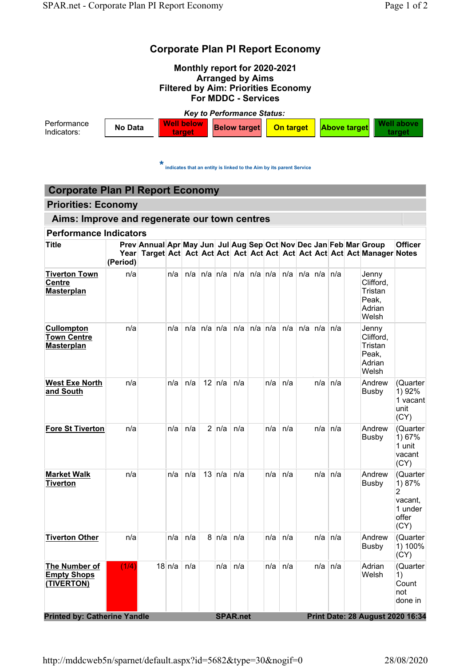